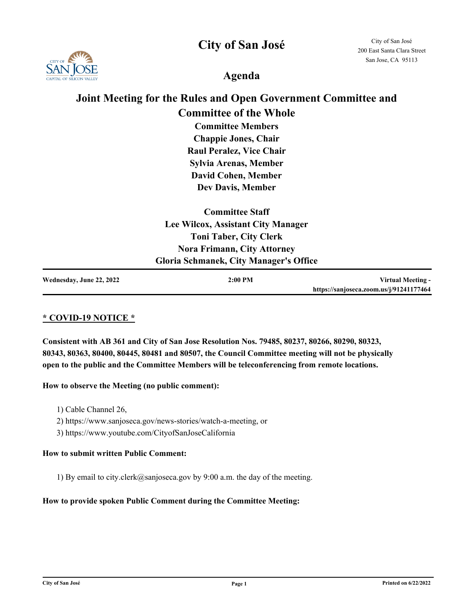**City of San José**



City of San José 200 East Santa Clara Street San Jose, CA 95113

**Agenda**

# **Joint Meeting for the Rules and Open Government Committee and Committee of the Whole**

**Committee Members Chappie Jones, Chair Raul Peralez, Vice Chair Sylvia Arenas, Member David Cohen, Member Dev Davis, Member** 

| <b>Committee Staff</b>                        |
|-----------------------------------------------|
| Lee Wilcox, Assistant City Manager            |
| <b>Toni Taber, City Clerk</b>                 |
| <b>Nora Frimann, City Attorney</b>            |
| <b>Gloria Schmanek, City Manager's Office</b> |

| Wednesday, June 22, 2022 | $2:00$ PM | Virtual Meeting -                       |
|--------------------------|-----------|-----------------------------------------|
|                          |           | https://sanjoseca.zoom.us/j/91241177464 |

## **\* COVID-19 NOTICE \***

**Consistent with AB 361 and City of San Jose Resolution Nos. 79485, 80237, 80266, 80290, 80323, 80343, 80363, 80400, 80445, 80481 and 80507, the Council Committee meeting will not be physically open to the public and the Committee Members will be teleconferencing from remote locations.**

#### **How to observe the Meeting (no public comment):**

- 1) Cable Channel 26,
- 2) https://www.sanjoseca.gov/news-stories/watch-a-meeting, or
- 3) https://www.youtube.com/CityofSanJoseCalifornia

#### **How to submit written Public Comment:**

1) By email to city.clerk@sanjoseca.gov by 9:00 a.m. the day of the meeting.

#### **How to provide spoken Public Comment during the Committee Meeting:**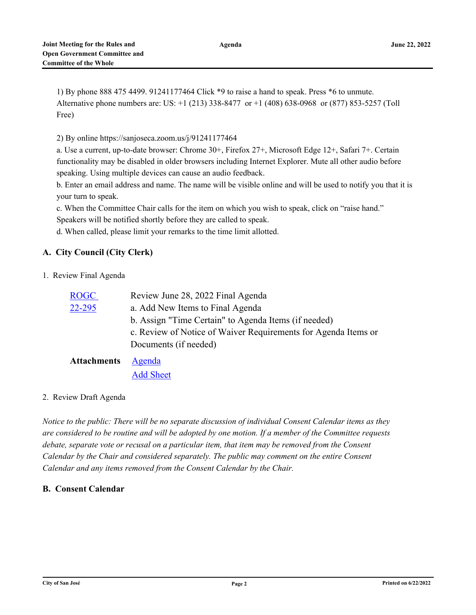**Agenda**

1) By phone 888 475 4499. 91241177464 Click \*9 to raise a hand to speak. Press \*6 to unmute. Alternative phone numbers are: US: +1 (213) 338-8477 or +1 (408) 638-0968 or (877) 853-5257 (Toll Free)

2) By online https://sanjoseca.zoom.us/j/91241177464

a. Use a current, up-to-date browser: Chrome 30+, Firefox 27+, Microsoft Edge 12+, Safari 7+. Certain functionality may be disabled in older browsers including Internet Explorer. Mute all other audio before speaking. Using multiple devices can cause an audio feedback.

b. Enter an email address and name. The name will be visible online and will be used to notify you that it is your turn to speak.

c. When the Committee Chair calls for the item on which you wish to speak, click on "raise hand." Speakers will be notified shortly before they are called to speak.

d. When called, please limit your remarks to the time limit allotted.

# **A. City Council (City Clerk)**

1. Review Final Agenda

| <b>ROGC</b>        | Review June 28, 2022 Final Agenda                              |
|--------------------|----------------------------------------------------------------|
| 22-295             | a. Add New Items to Final Agenda                               |
|                    | b. Assign "Time Certain" to Agenda Items (if needed)           |
|                    | c. Review of Notice of Waiver Requirements for Agenda Items or |
|                    | Documents (if needed)                                          |
| <b>Attachments</b> | Agenda                                                         |

[Add Sheet](http://sanjose.legistar.com/gateway.aspx?M=F&ID=b151df45-e94e-4e30-80a6-a1a41e44172b.pdf)

#### 2. Review Draft Agenda

*Notice to the public: There will be no separate discussion of individual Consent Calendar items as they are considered to be routine and will be adopted by one motion. If a member of the Committee requests debate, separate vote or recusal on a particular item, that item may be removed from the Consent Calendar by the Chair and considered separately. The public may comment on the entire Consent Calendar and any items removed from the Consent Calendar by the Chair.*

## **B. Consent Calendar**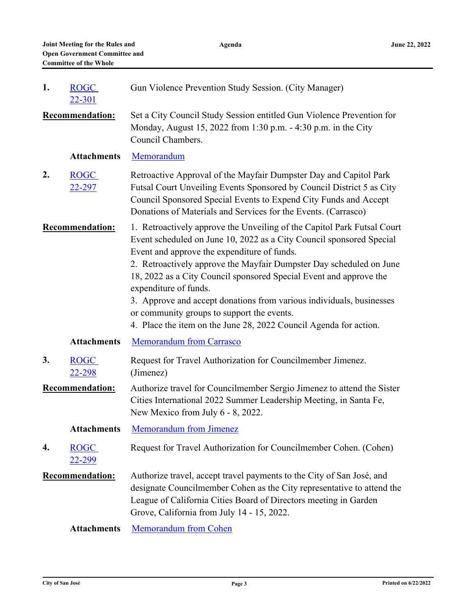**Agenda**

| 1. | <b>ROGC</b><br>22-301        | Gun Violence Prevention Study Session. (City Manager)                                                                                                                                                                                                                                                                                                                                                                                                                                                                                                           |
|----|------------------------------|-----------------------------------------------------------------------------------------------------------------------------------------------------------------------------------------------------------------------------------------------------------------------------------------------------------------------------------------------------------------------------------------------------------------------------------------------------------------------------------------------------------------------------------------------------------------|
|    | <b>Recommendation:</b>       | Set a City Council Study Session entitled Gun Violence Prevention for<br>Monday, August 15, 2022 from 1:30 p.m. - 4:30 p.m. in the City<br>Council Chambers.                                                                                                                                                                                                                                                                                                                                                                                                    |
|    | <b>Attachments</b>           | Memorandum                                                                                                                                                                                                                                                                                                                                                                                                                                                                                                                                                      |
| 2. | <b>ROGC</b><br><u>22-297</u> | Retroactive Approval of the Mayfair Dumpster Day and Capitol Park<br>Futsal Court Unveiling Events Sponsored by Council District 5 as City<br>Council Sponsored Special Events to Expend City Funds and Accept<br>Donations of Materials and Services for the Events. (Carrasco)                                                                                                                                                                                                                                                                                |
|    | <b>Recommendation:</b>       | 1. Retroactively approve the Unveiling of the Capitol Park Futsal Court<br>Event scheduled on June 10, 2022 as a City Council sponsored Special<br>Event and approve the expenditure of funds.<br>2. Retroactively approve the Mayfair Dumpster Day scheduled on June<br>18, 2022 as a City Council sponsored Special Event and approve the<br>expenditure of funds.<br>3. Approve and accept donations from various individuals, businesses<br>or community groups to support the events.<br>4. Place the item on the June 28, 2022 Council Agenda for action. |
|    | <b>Attachments</b>           | <b>Memorandum from Carrasco</b>                                                                                                                                                                                                                                                                                                                                                                                                                                                                                                                                 |
| 3. | <b>ROGC</b><br>22-298        | Request for Travel Authorization for Councilmember Jimenez.<br>(Jimenez)                                                                                                                                                                                                                                                                                                                                                                                                                                                                                        |
|    | <b>Recommendation:</b>       | Authorize travel for Councilmember Sergio Jimenez to attend the Sister<br>Cities International 2022 Summer Leadership Meeting, in Santa Fe,<br>New Mexico from July 6 - 8, 2022.                                                                                                                                                                                                                                                                                                                                                                                |
|    | <b>Attachments</b>           | <b>Memorandum from Jimenez</b>                                                                                                                                                                                                                                                                                                                                                                                                                                                                                                                                  |
| 4. | <b>ROGC</b><br>22-299        | Request for Travel Authorization for Councilmember Cohen. (Cohen)                                                                                                                                                                                                                                                                                                                                                                                                                                                                                               |
|    | <b>Recommendation:</b>       | Authorize travel, accept travel payments to the City of San José, and<br>designate Councilmember Cohen as the City representative to attend the<br>League of California Cities Board of Directors meeting in Garden<br>Grove, California from July 14 - 15, 2022.                                                                                                                                                                                                                                                                                               |
|    | <b>Attachments</b>           | <b>Memorandum from Cohen</b>                                                                                                                                                                                                                                                                                                                                                                                                                                                                                                                                    |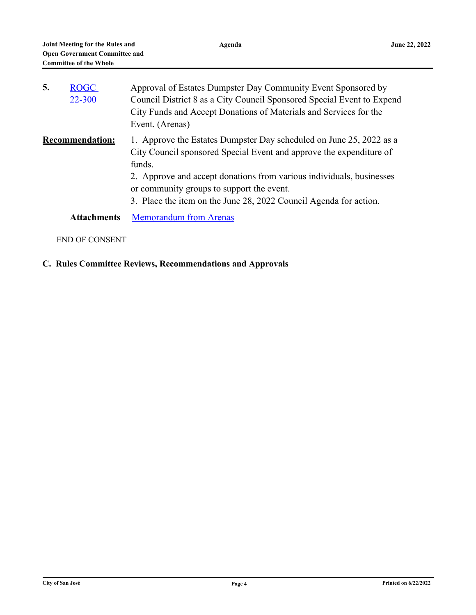| 5. | <b>ROGC</b><br>22-300  | Approval of Estates Dumpster Day Community Event Sponsored by<br>Council District 8 as a City Council Sponsored Special Event to Expend<br>City Funds and Accept Donations of Materials and Services for the<br>Event. (Arenas)                                                                                                                |
|----|------------------------|------------------------------------------------------------------------------------------------------------------------------------------------------------------------------------------------------------------------------------------------------------------------------------------------------------------------------------------------|
|    | <b>Recommendation:</b> | 1. Approve the Estates Dumpster Day scheduled on June 25, 2022 as a<br>City Council sponsored Special Event and approve the expenditure of<br>funds.<br>2. Approve and accept donations from various individuals, businesses<br>or community groups to support the event.<br>3. Place the item on the June 28, 2022 Council Agenda for action. |
|    | <b>Attachments</b>     | <b>Memorandum from Arenas</b>                                                                                                                                                                                                                                                                                                                  |

# END OF CONSENT

# **C. Rules Committee Reviews, Recommendations and Approvals**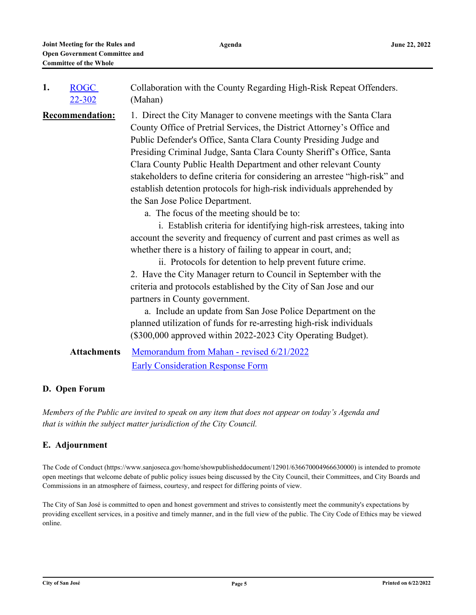| 1.                     | <b>ROGC</b>        | Collaboration with the County Regarding High-Risk Repeat Offenders.                                                                                                                                                                                                                                                                                                                                                                                                                                                                                                                                                                                                                                                                                                                                                                                                                                                                                            |
|------------------------|--------------------|----------------------------------------------------------------------------------------------------------------------------------------------------------------------------------------------------------------------------------------------------------------------------------------------------------------------------------------------------------------------------------------------------------------------------------------------------------------------------------------------------------------------------------------------------------------------------------------------------------------------------------------------------------------------------------------------------------------------------------------------------------------------------------------------------------------------------------------------------------------------------------------------------------------------------------------------------------------|
|                        | $22 - 302$         | (Mahan)                                                                                                                                                                                                                                                                                                                                                                                                                                                                                                                                                                                                                                                                                                                                                                                                                                                                                                                                                        |
| <b>Recommendation:</b> |                    | 1. Direct the City Manager to convene meetings with the Santa Clara<br>County Office of Pretrial Services, the District Attorney's Office and<br>Public Defender's Office, Santa Clara County Presiding Judge and<br>Presiding Criminal Judge, Santa Clara County Sheriff's Office, Santa<br>Clara County Public Health Department and other relevant County<br>stakeholders to define criteria for considering an arrestee "high-risk" and<br>establish detention protocols for high-risk individuals apprehended by<br>the San Jose Police Department.<br>a. The focus of the meeting should be to:<br>i. Establish criteria for identifying high-risk arrestees, taking into<br>account the severity and frequency of current and past crimes as well as<br>whether there is a history of failing to appear in court, and;<br>ii. Protocols for detention to help prevent future crime.<br>2. Have the City Manager return to Council in September with the |
|                        |                    | criteria and protocols established by the City of San Jose and our                                                                                                                                                                                                                                                                                                                                                                                                                                                                                                                                                                                                                                                                                                                                                                                                                                                                                             |
|                        |                    | partners in County government.<br>a. Include an update from San Jose Police Department on the<br>planned utilization of funds for re-arresting high-risk individuals<br>(\$300,000 approved within 2022-2023 City Operating Budget).                                                                                                                                                                                                                                                                                                                                                                                                                                                                                                                                                                                                                                                                                                                           |
|                        | <b>Attachments</b> | Memorandum from Mahan - revised 6/21/2022                                                                                                                                                                                                                                                                                                                                                                                                                                                                                                                                                                                                                                                                                                                                                                                                                                                                                                                      |
|                        |                    | <b>Early Consideration Response Form</b>                                                                                                                                                                                                                                                                                                                                                                                                                                                                                                                                                                                                                                                                                                                                                                                                                                                                                                                       |

#### **D. Open Forum**

*Members of the Public are invited to speak on any item that does not appear on today's Agenda and that is within the subject matter jurisdiction of the City Council.*

#### **E. Adjournment**

The Code of Conduct (https://www.sanjoseca.gov/home/showpublisheddocument/12901/636670004966630000) is intended to promote open meetings that welcome debate of public policy issues being discussed by the City Council, their Committees, and City Boards and Commissions in an atmosphere of fairness, courtesy, and respect for differing points of view.

The City of San José is committed to open and honest government and strives to consistently meet the community's expectations by providing excellent services, in a positive and timely manner, and in the full view of the public. The City Code of Ethics may be viewed online.